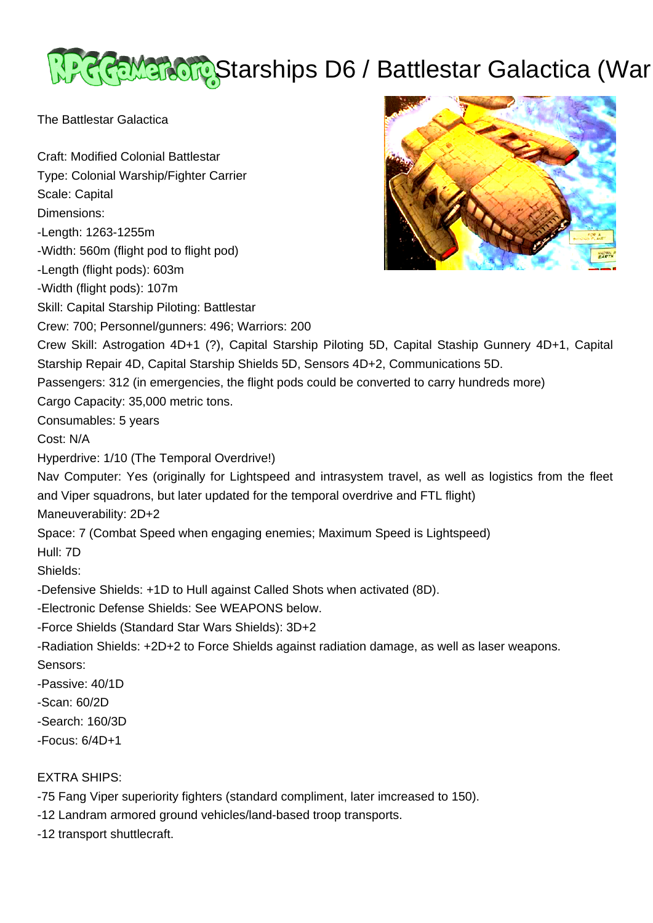# Gameradio Starships D6 / Battlestar Galactica (War

The Battlestar Galactica

Craft: Modified Colonial Battlestar Type: Colonial Warship/Fighter Carrier Scale: Capital Dimensions: -Length: 1263-1255m -Width: 560m (flight pod to flight pod) -Length (flight pods): 603m -Width (flight pods): 107m Skill: Capital Starship Piloting: Battlestar Crew: 700; Personnel/gunners: 496; Warriors: 200 Crew Skill: Astrogation 4D+1 (?), Capital Starship Piloting 5D, Capital Staship Gunnery 4D+1, Capital Starship Repair 4D, Capital Starship Shields 5D, Sensors 4D+2, Communications 5D. Passengers: 312 (in emergencies, the flight pods could be converted to carry hundreds more) Cargo Capacity: 35,000 metric tons. Consumables: 5 years Cost: N/A Hyperdrive: 1/10 (The Temporal Overdrive!) Nav Computer: Yes (originally for Lightspeed and intrasystem travel, as well as logistics from the fleet and Viper squadrons, but later updated for the temporal overdrive and FTL flight) Maneuverability: 2D+2 Space: 7 (Combat Speed when engaging enemies; Maximum Speed is Lightspeed) Hull: 7D Shields: -Defensive Shields: +1D to Hull against Called Shots when activated (8D). -Electronic Defense Shields: See WEAPONS below. -Force Shields (Standard Star Wars Shields): 3D+2 -Radiation Shields: +2D+2 to Force Shields against radiation damage, as well as laser weapons. Sensors: -Passive: 40/1D -Scan: 60/2D -Search: 160/3D -Focus: 6/4D+1 EXTRA SHIPS:

- -75 Fang Viper superiority fighters (standard compliment, later imcreased to 150).
- -12 Landram armored ground vehicles/land-based troop transports.
- -12 transport shuttlecraft.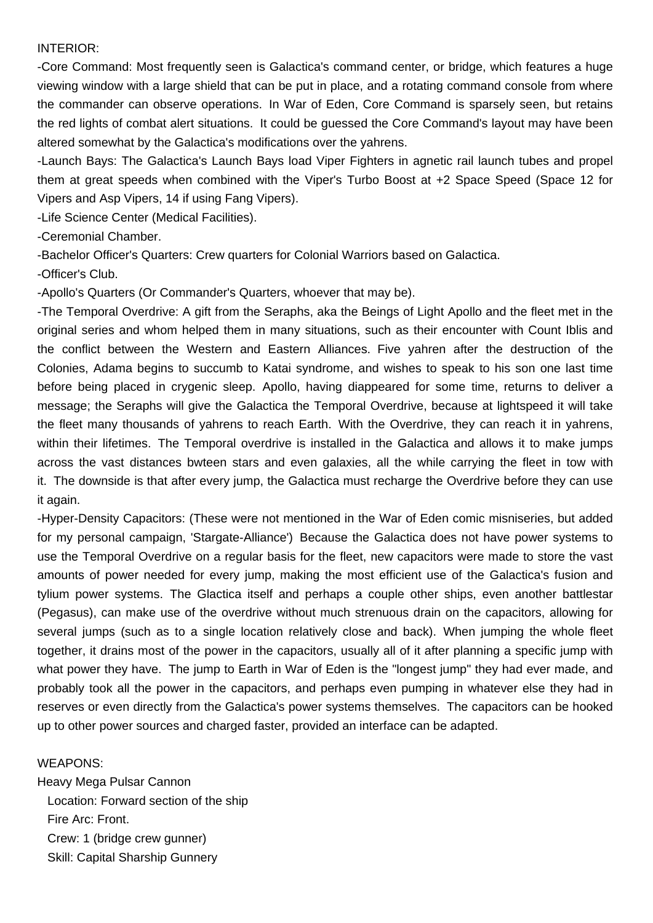#### INTERIOR:

-Core Command: Most frequently seen is Galactica's command center, or bridge, which features a huge viewing window with a large shield that can be put in place, and a rotating command console from where the commander can observe operations. In War of Eden, Core Command is sparsely seen, but retains the red lights of combat alert situations. It could be guessed the Core Command's layout may have been altered somewhat by the Galactica's modifications over the yahrens.

-Launch Bays: The Galactica's Launch Bays load Viper Fighters in agnetic rail launch tubes and propel them at great speeds when combined with the Viper's Turbo Boost at +2 Space Speed (Space 12 for Vipers and Asp Vipers, 14 if using Fang Vipers).

-Life Science Center (Medical Facilities).

-Ceremonial Chamber.

-Bachelor Officer's Quarters: Crew quarters for Colonial Warriors based on Galactica.

-Officer's Club.

-Apollo's Quarters (Or Commander's Quarters, whoever that may be).

-The Temporal Overdrive: A gift from the Seraphs, aka the Beings of Light Apollo and the fleet met in the original series and whom helped them in many situations, such as their encounter with Count Iblis and the conflict between the Western and Eastern Alliances. Five yahren after the destruction of the Colonies, Adama begins to succumb to Katai syndrome, and wishes to speak to his son one last time before being placed in crygenic sleep. Apollo, having diappeared for some time, returns to deliver a message; the Seraphs will give the Galactica the Temporal Overdrive, because at lightspeed it will take the fleet many thousands of yahrens to reach Earth. With the Overdrive, they can reach it in yahrens, within their lifetimes. The Temporal overdrive is installed in the Galactica and allows it to make jumps across the vast distances bwteen stars and even galaxies, all the while carrying the fleet in tow with it. The downside is that after every jump, the Galactica must recharge the Overdrive before they can use it again.

-Hyper-Density Capacitors: (These were not mentioned in the War of Eden comic misniseries, but added for my personal campaign, 'Stargate-Alliance') Because the Galactica does not have power systems to use the Temporal Overdrive on a regular basis for the fleet, new capacitors were made to store the vast amounts of power needed for every jump, making the most efficient use of the Galactica's fusion and tylium power systems. The Glactica itself and perhaps a couple other ships, even another battlestar (Pegasus), can make use of the overdrive without much strenuous drain on the capacitors, allowing for several jumps (such as to a single location relatively close and back). When jumping the whole fleet together, it drains most of the power in the capacitors, usually all of it after planning a specific jump with what power they have. The jump to Earth in War of Eden is the "longest jump" they had ever made, and probably took all the power in the capacitors, and perhaps even pumping in whatever else they had in reserves or even directly from the Galactica's power systems themselves. The capacitors can be hooked up to other power sources and charged faster, provided an interface can be adapted.

# WEAPONS:

Heavy Mega Pulsar Cannon Location: Forward section of the ship Fire Arc: Front. Crew: 1 (bridge crew gunner) Skill: Capital Sharship Gunnery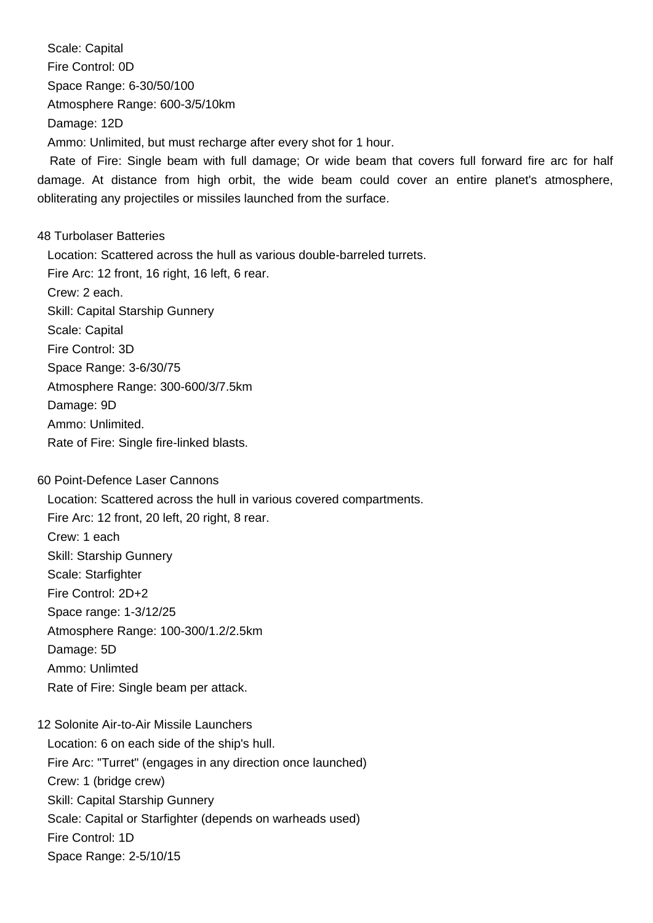Scale: Capital Fire Control: 0D Space Range: 6-30/50/100 Atmosphere Range: 600-3/5/10km Damage: 12D Ammo: Unlimited, but must recharge after every shot for 1 hour.

 Rate of Fire: Single beam with full damage; Or wide beam that covers full forward fire arc for half damage. At distance from high orbit, the wide beam could cover an entire planet's atmosphere, obliterating any projectiles or missiles launched from the surface.

# 48 Turbolaser Batteries

 Location: Scattered across the hull as various double-barreled turrets. Fire Arc: 12 front, 16 right, 16 left, 6 rear. Crew: 2 each. Skill: Capital Starship Gunnery Scale: Capital Fire Control: 3D Space Range: 3-6/30/75 Atmosphere Range: 300-600/3/7.5km Damage: 9D Ammo: Unlimited. Rate of Fire: Single fire-linked blasts.

# 60 Point-Defence Laser Cannons

 Location: Scattered across the hull in various covered compartments. Fire Arc: 12 front, 20 left, 20 right, 8 rear. Crew: 1 each Skill: Starship Gunnery Scale: Starfighter Fire Control: 2D+2 Space range: 1-3/12/25 Atmosphere Range: 100-300/1.2/2.5km Damage: 5D Ammo: Unlimted Rate of Fire: Single beam per attack.

# 12 Solonite Air-to-Air Missile Launchers Location: 6 on each side of the ship's hull. Fire Arc: "Turret" (engages in any direction once launched) Crew: 1 (bridge crew) Skill: Capital Starship Gunnery Scale: Capital or Starfighter (depends on warheads used) Fire Control: 1D Space Range: 2-5/10/15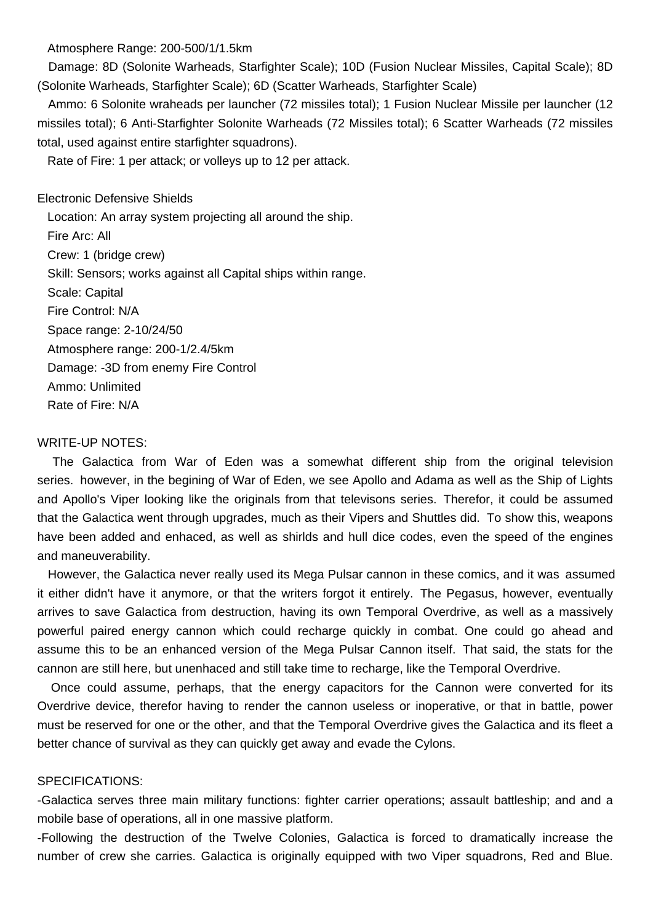Atmosphere Range: 200-500/1/1.5km

 Damage: 8D (Solonite Warheads, Starfighter Scale); 10D (Fusion Nuclear Missiles, Capital Scale); 8D (Solonite Warheads, Starfighter Scale); 6D (Scatter Warheads, Starfighter Scale)

 Ammo: 6 Solonite wraheads per launcher (72 missiles total); 1 Fusion Nuclear Missile per launcher (12 missiles total); 6 Anti-Starfighter Solonite Warheads (72 Missiles total); 6 Scatter Warheads (72 missiles total, used against entire starfighter squadrons).

Rate of Fire: 1 per attack; or volleys up to 12 per attack.

Electronic Defensive Shields

 Location: An array system projecting all around the ship. Fire Arc: All Crew: 1 (bridge crew) Skill: Sensors; works against all Capital ships within range. Scale: Capital Fire Control: N/A Space range: 2-10/24/50 Atmosphere range: 200-1/2.4/5km Damage: -3D from enemy Fire Control Ammo: Unlimited Rate of Fire: N/A

### WRITE-UP NOTES:

 The Galactica from War of Eden was a somewhat different ship from the original television series. however, in the begining of War of Eden, we see Apollo and Adama as well as the Ship of Lights and Apollo's Viper looking like the originals from that televisons series. Therefor, it could be assumed that the Galactica went through upgrades, much as their Vipers and Shuttles did. To show this, weapons have been added and enhaced, as well as shirlds and hull dice codes, even the speed of the engines and maneuverability.

 However, the Galactica never really used its Mega Pulsar cannon in these comics, and it was assumed it either didn't have it anymore, or that the writers forgot it entirely. The Pegasus, however, eventually arrives to save Galactica from destruction, having its own Temporal Overdrive, as well as a massively powerful paired energy cannon which could recharge quickly in combat. One could go ahead and assume this to be an enhanced version of the Mega Pulsar Cannon itself. That said, the stats for the cannon are still here, but unenhaced and still take time to recharge, like the Temporal Overdrive.

 Once could assume, perhaps, that the energy capacitors for the Cannon were converted for its Overdrive device, therefor having to render the cannon useless or inoperative, or that in battle, power must be reserved for one or the other, and that the Temporal Overdrive gives the Galactica and its fleet a better chance of survival as they can quickly get away and evade the Cylons.

### SPECIFICATIONS:

-Galactica serves three main military functions: fighter carrier operations; assault battleship; and and a mobile base of operations, all in one massive platform.

-Following the destruction of the Twelve Colonies, Galactica is forced to dramatically increase the number of crew she carries. Galactica is originally equipped with two Viper squadrons, Red and Blue.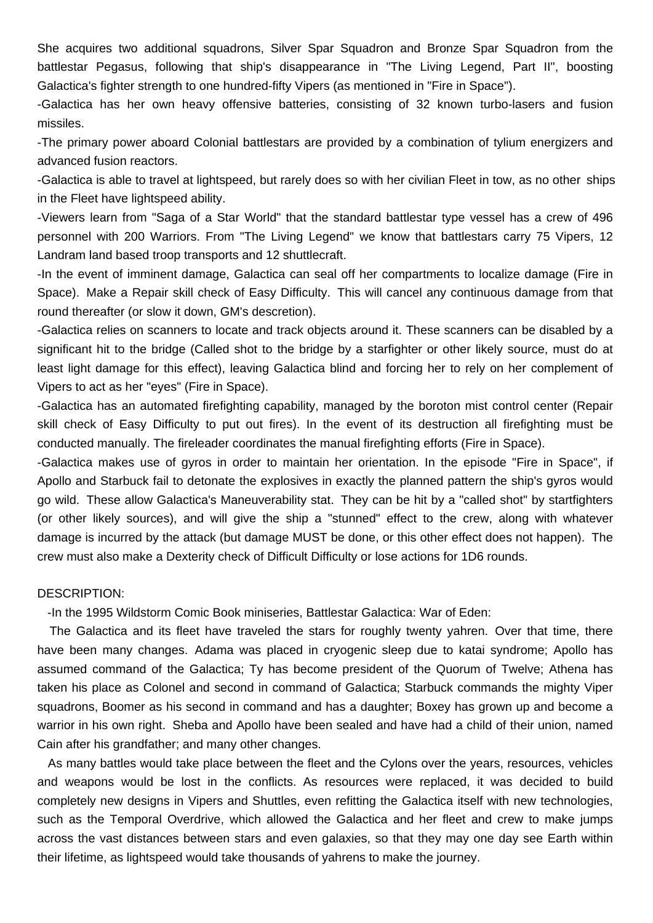She acquires two additional squadrons, Silver Spar Squadron and Bronze Spar Squadron from the battlestar Pegasus, following that ship's disappearance in "The Living Legend, Part II", boosting Galactica's fighter strength to one hundred-fifty Vipers (as mentioned in "Fire in Space").

-Galactica has her own heavy offensive batteries, consisting of 32 known turbo-lasers and fusion missiles.

-The primary power aboard Colonial battlestars are provided by a combination of tylium energizers and advanced fusion reactors.

-Galactica is able to travel at lightspeed, but rarely does so with her civilian Fleet in tow, as no other ships in the Fleet have lightspeed ability.

-Viewers learn from "Saga of a Star World" that the standard battlestar type vessel has a crew of 496 personnel with 200 Warriors. From "The Living Legend" we know that battlestars carry 75 Vipers, 12 Landram land based troop transports and 12 shuttlecraft.

-In the event of imminent damage, Galactica can seal off her compartments to localize damage (Fire in Space). Make a Repair skill check of Easy Difficulty. This will cancel any continuous damage from that round thereafter (or slow it down, GM's descretion).

-Galactica relies on scanners to locate and track objects around it. These scanners can be disabled by a significant hit to the bridge (Called shot to the bridge by a starfighter or other likely source, must do at least light damage for this effect), leaving Galactica blind and forcing her to rely on her complement of Vipers to act as her "eyes" (Fire in Space).

-Galactica has an automated firefighting capability, managed by the boroton mist control center (Repair skill check of Easy Difficulty to put out fires). In the event of its destruction all firefighting must be conducted manually. The fireleader coordinates the manual firefighting efforts (Fire in Space).

-Galactica makes use of gyros in order to maintain her orientation. In the episode "Fire in Space", if Apollo and Starbuck fail to detonate the explosives in exactly the planned pattern the ship's gyros would go wild. These allow Galactica's Maneuverability stat. They can be hit by a "called shot" by startfighters (or other likely sources), and will give the ship a "stunned" effect to the crew, along with whatever damage is incurred by the attack (but damage MUST be done, or this other effect does not happen). The crew must also make a Dexterity check of Difficult Difficulty or lose actions for 1D6 rounds.

### DESCRIPTION:

-In the 1995 Wildstorm Comic Book miniseries, Battlestar Galactica: War of Eden:

 The Galactica and its fleet have traveled the stars for roughly twenty yahren. Over that time, there have been many changes. Adama was placed in cryogenic sleep due to katai syndrome; Apollo has assumed command of the Galactica; Ty has become president of the Quorum of Twelve; Athena has taken his place as Colonel and second in command of Galactica; Starbuck commands the mighty Viper squadrons, Boomer as his second in command and has a daughter; Boxey has grown up and become a warrior in his own right. Sheba and Apollo have been sealed and have had a child of their union, named Cain after his grandfather; and many other changes.

 As many battles would take place between the fleet and the Cylons over the years, resources, vehicles and weapons would be lost in the conflicts. As resources were replaced, it was decided to build completely new designs in Vipers and Shuttles, even refitting the Galactica itself with new technologies, such as the Temporal Overdrive, which allowed the Galactica and her fleet and crew to make jumps across the vast distances between stars and even galaxies, so that they may one day see Earth within their lifetime, as lightspeed would take thousands of yahrens to make the journey.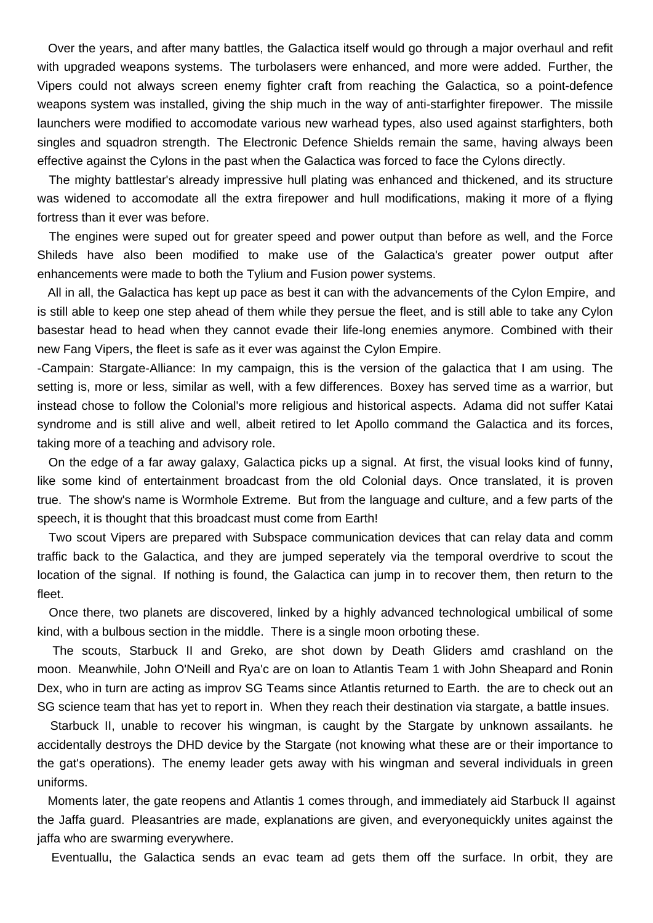Over the years, and after many battles, the Galactica itself would go through a major overhaul and refit with upgraded weapons systems. The turbolasers were enhanced, and more were added. Further, the Vipers could not always screen enemy fighter craft from reaching the Galactica, so a point-defence weapons system was installed, giving the ship much in the way of anti-starfighter firepower. The missile launchers were modified to accomodate various new warhead types, also used against starfighters, both singles and squadron strength. The Electronic Defence Shields remain the same, having always been effective against the Cylons in the past when the Galactica was forced to face the Cylons directly.

 The mighty battlestar's already impressive hull plating was enhanced and thickened, and its structure was widened to accomodate all the extra firepower and hull modifications, making it more of a flying fortress than it ever was before.

 The engines were suped out for greater speed and power output than before as well, and the Force Shileds have also been modified to make use of the Galactica's greater power output after enhancements were made to both the Tylium and Fusion power systems.

 All in all, the Galactica has kept up pace as best it can with the advancements of the Cylon Empire, and is still able to keep one step ahead of them while they persue the fleet, and is still able to take any Cylon basestar head to head when they cannot evade their life-long enemies anymore. Combined with their new Fang Vipers, the fleet is safe as it ever was against the Cylon Empire.

-Campain: Stargate-Alliance: In my campaign, this is the version of the galactica that I am using. The setting is, more or less, similar as well, with a few differences. Boxey has served time as a warrior, but instead chose to follow the Colonial's more religious and historical aspects. Adama did not suffer Katai syndrome and is still alive and well, albeit retired to let Apollo command the Galactica and its forces, taking more of a teaching and advisory role.

 On the edge of a far away galaxy, Galactica picks up a signal. At first, the visual looks kind of funny, like some kind of entertainment broadcast from the old Colonial days. Once translated, it is proven true. The show's name is Wormhole Extreme. But from the language and culture, and a few parts of the speech, it is thought that this broadcast must come from Earth!

 Two scout Vipers are prepared with Subspace communication devices that can relay data and comm traffic back to the Galactica, and they are jumped seperately via the temporal overdrive to scout the location of the signal. If nothing is found, the Galactica can jump in to recover them, then return to the fleet.

 Once there, two planets are discovered, linked by a highly advanced technological umbilical of some kind, with a bulbous section in the middle. There is a single moon orboting these.

 The scouts, Starbuck II and Greko, are shot down by Death Gliders amd crashland on the moon. Meanwhile, John O'Neill and Rya'c are on loan to Atlantis Team 1 with John Sheapard and Ronin Dex, who in turn are acting as improv SG Teams since Atlantis returned to Earth. the are to check out an SG science team that has yet to report in. When they reach their destination via stargate, a battle insues.

 Starbuck II, unable to recover his wingman, is caught by the Stargate by unknown assailants. he accidentally destroys the DHD device by the Stargate (not knowing what these are or their importance to the gat's operations). The enemy leader gets away with his wingman and several individuals in green uniforms.

 Moments later, the gate reopens and Atlantis 1 comes through, and immediately aid Starbuck II against the Jaffa guard. Pleasantries are made, explanations are given, and everyonequickly unites against the jaffa who are swarming everywhere.

Eventuallu, the Galactica sends an evac team ad gets them off the surface. In orbit, they are